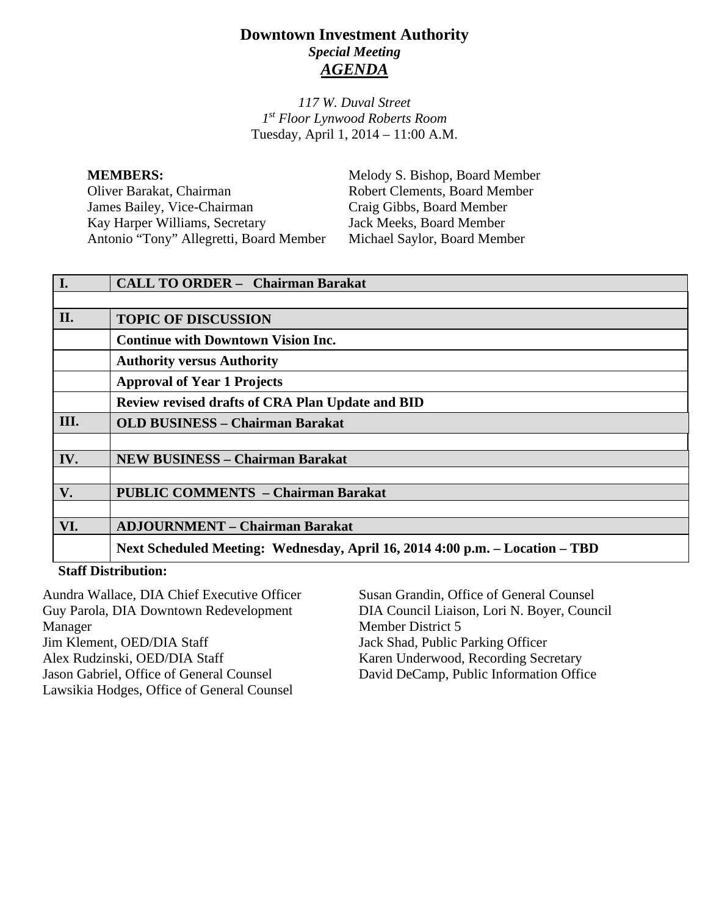# **Downtown Investment Authority** *Special Meeting AGENDA*

*117 W. Duval Street 1st Floor Lynwood Roberts Room* Tuesday, April 1, 2014 – 11:00 A.M.

**MEMBERS:**<br>
Melody S. Bishop, Board Member<br>
Oliver Barakat, Chairman<br>
Robert Clements, Board Member James Bailey, Vice-Chairman Craig Gibbs, Board Member<br>
Kay Harper Williams, Secretary Jack Meeks, Board Member Kay Harper Williams, Secretary Jack Meeks, Board Member<br>Antonio "Tony" Allegretti, Board Member Michael Saylor, Board Member Antonio "Tony" Allegretti, Board Member

Robert Clements, Board Member<br>Craig Gibbs, Board Member

| I.                      | <b>CALL TO ORDER - Chairman Barakat</b>                                      |
|-------------------------|------------------------------------------------------------------------------|
|                         |                                                                              |
| II.                     | <b>TOPIC OF DISCUSSION</b>                                                   |
|                         | <b>Continue with Downtown Vision Inc.</b>                                    |
|                         | <b>Authority versus Authority</b>                                            |
|                         | <b>Approval of Year 1 Projects</b>                                           |
|                         | <b>Review revised drafts of CRA Plan Update and BID</b>                      |
| III.                    | <b>OLD BUSINESS - Chairman Barakat</b>                                       |
|                         |                                                                              |
| IV.                     | <b>NEW BUSINESS - Chairman Barakat</b>                                       |
|                         |                                                                              |
| V.                      | <b>PUBLIC COMMENTS - Chairman Barakat</b>                                    |
|                         |                                                                              |
| VI.                     | <b>ADJOURNMENT - Chairman Barakat</b>                                        |
|                         | Next Scheduled Meeting: Wednesday, April 16, 2014 4:00 p.m. – Location – TBD |
| $C_1$ of $D_2$ is $T_1$ |                                                                              |

#### **Staff Distribution:**

| Susan Grandin, Office of General Counsel    |
|---------------------------------------------|
| DIA Council Liaison, Lori N. Boyer, Council |
| Member District 5                           |
| Jack Shad, Public Parking Officer           |
| Karen Underwood, Recording Secretary        |
| David DeCamp, Public Information Office     |
|                                             |
|                                             |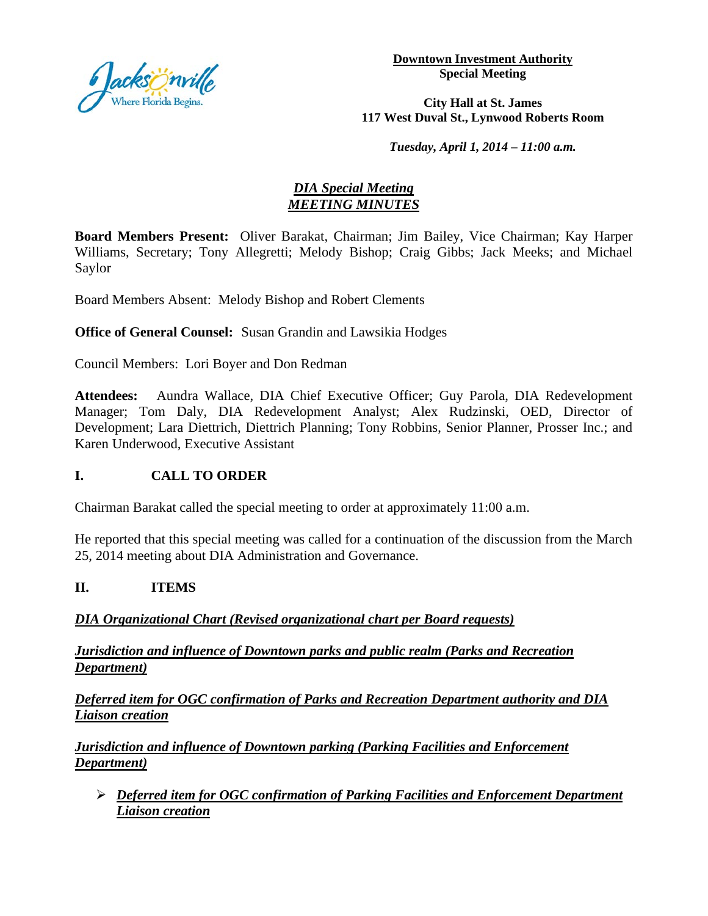

**Downtown Investment Authority Special Meeting** 

**City Hall at St. James 117 West Duval St., Lynwood Roberts Room**

*Tuesday, April 1, 2014 – 11:00 a.m.*

### *DIA Special Meeting MEETING MINUTES*

**Board Members Present:** Oliver Barakat, Chairman; Jim Bailey, Vice Chairman; Kay Harper Williams, Secretary; Tony Allegretti; Melody Bishop; Craig Gibbs; Jack Meeks; and Michael Saylor

Board Members Absent: Melody Bishop and Robert Clements

**Office of General Counsel:** Susan Grandin and Lawsikia Hodges

Council Members: Lori Boyer and Don Redman

**Attendees:** Aundra Wallace, DIA Chief Executive Officer; Guy Parola, DIA Redevelopment Manager; Tom Daly, DIA Redevelopment Analyst; Alex Rudzinski, OED, Director of Development; Lara Diettrich, Diettrich Planning; Tony Robbins, Senior Planner, Prosser Inc.; and Karen Underwood, Executive Assistant

## **I. CALL TO ORDER**

Chairman Barakat called the special meeting to order at approximately 11:00 a.m.

He reported that this special meeting was called for a continuation of the discussion from the March 25, 2014 meeting about DIA Administration and Governance.

#### **II. ITEMS**

## *DIA Organizational Chart (Revised organizational chart per Board requests)*

*Jurisdiction and influence of Downtown parks and public realm (Parks and Recreation Department)*

*Deferred item for OGC confirmation of Parks and Recreation Department authority and DIA Liaison creation*

*Jurisdiction and influence of Downtown parking (Parking Facilities and Enforcement Department)*

 *Deferred item for OGC confirmation of Parking Facilities and Enforcement Department Liaison creation*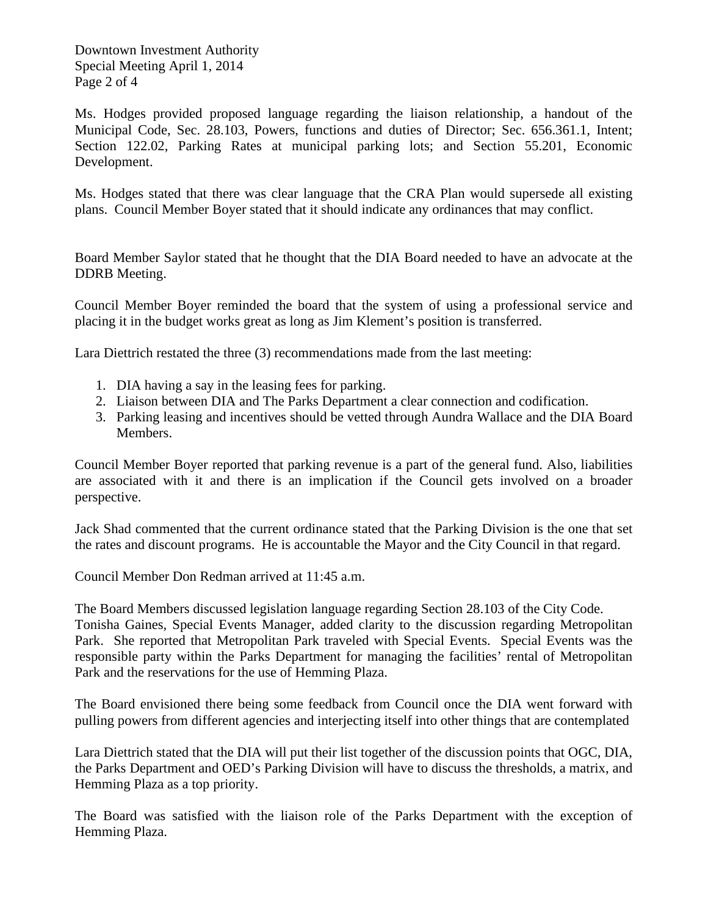Downtown Investment Authority Special Meeting April 1, 2014 Page 2 of 4

Ms. Hodges provided proposed language regarding the liaison relationship, a handout of the Municipal Code, Sec. 28.103, Powers, functions and duties of Director; Sec. 656.361.1, Intent; Section 122.02, Parking Rates at municipal parking lots; and Section 55.201, Economic Development.

Ms. Hodges stated that there was clear language that the CRA Plan would supersede all existing plans. Council Member Boyer stated that it should indicate any ordinances that may conflict.

Board Member Saylor stated that he thought that the DIA Board needed to have an advocate at the DDRB Meeting.

Council Member Boyer reminded the board that the system of using a professional service and placing it in the budget works great as long as Jim Klement's position is transferred.

Lara Diettrich restated the three (3) recommendations made from the last meeting:

- 1. DIA having a say in the leasing fees for parking.
- 2. Liaison between DIA and The Parks Department a clear connection and codification.
- 3. Parking leasing and incentives should be vetted through Aundra Wallace and the DIA Board Members.

Council Member Boyer reported that parking revenue is a part of the general fund. Also, liabilities are associated with it and there is an implication if the Council gets involved on a broader perspective.

Jack Shad commented that the current ordinance stated that the Parking Division is the one that set the rates and discount programs. He is accountable the Mayor and the City Council in that regard.

Council Member Don Redman arrived at 11:45 a.m.

The Board Members discussed legislation language regarding Section 28.103 of the City Code. Tonisha Gaines, Special Events Manager, added clarity to the discussion regarding Metropolitan Park. She reported that Metropolitan Park traveled with Special Events. Special Events was the responsible party within the Parks Department for managing the facilities' rental of Metropolitan Park and the reservations for the use of Hemming Plaza.

The Board envisioned there being some feedback from Council once the DIA went forward with pulling powers from different agencies and interjecting itself into other things that are contemplated

Lara Diettrich stated that the DIA will put their list together of the discussion points that OGC, DIA, the Parks Department and OED's Parking Division will have to discuss the thresholds, a matrix, and Hemming Plaza as a top priority.

The Board was satisfied with the liaison role of the Parks Department with the exception of Hemming Plaza.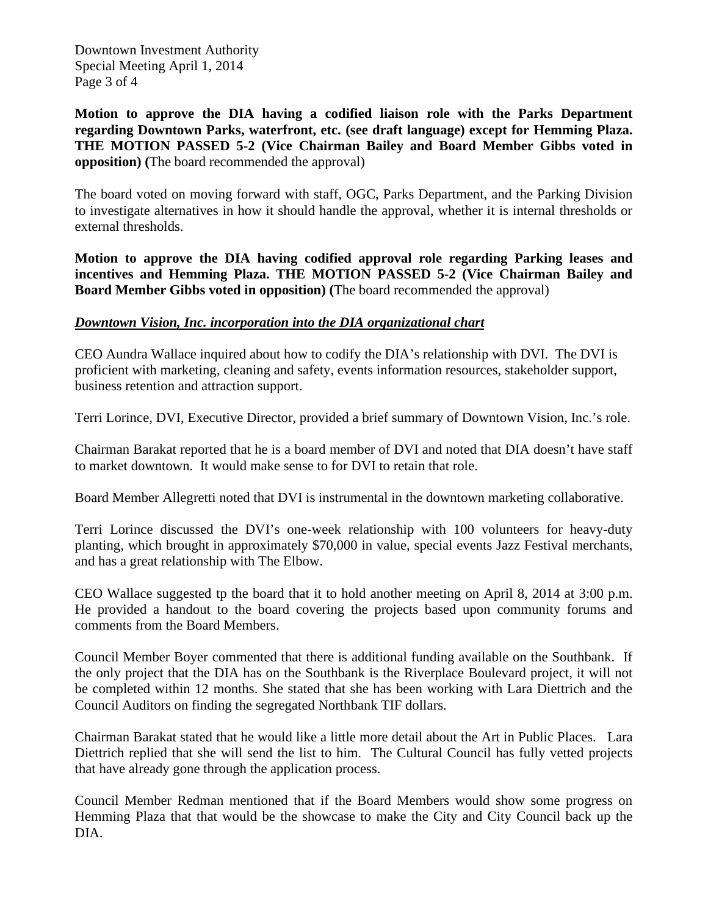Downtown Investment Authority Special Meeting April 1, 2014 Page 3 of 4

**Motion to approve the DIA having a codified liaison role with the Parks Department regarding Downtown Parks, waterfront, etc. (see draft language) except for Hemming Plaza. THE MOTION PASSED 5-2 (Vice Chairman Bailey and Board Member Gibbs voted in opposition) (**The board recommended the approval)

The board voted on moving forward with staff, OGC, Parks Department, and the Parking Division to investigate alternatives in how it should handle the approval, whether it is internal thresholds or external thresholds.

**Motion to approve the DIA having codified approval role regarding Parking leases and incentives and Hemming Plaza. THE MOTION PASSED 5-2 (Vice Chairman Bailey and Board Member Gibbs voted in opposition) (**The board recommended the approval)

#### *Downtown Vision, Inc. incorporation into the DIA organizational chart*

CEO Aundra Wallace inquired about how to codify the DIA's relationship with DVI. The DVI is proficient with marketing, cleaning and safety, events information resources, stakeholder support, business retention and attraction support.

Terri Lorince, DVI, Executive Director, provided a brief summary of Downtown Vision, Inc.'s role.

Chairman Barakat reported that he is a board member of DVI and noted that DIA doesn't have staff to market downtown. It would make sense to for DVI to retain that role.

Board Member Allegretti noted that DVI is instrumental in the downtown marketing collaborative.

Terri Lorince discussed the DVI's one-week relationship with 100 volunteers for heavy-duty planting, which brought in approximately \$70,000 in value, special events Jazz Festival merchants, and has a great relationship with The Elbow.

CEO Wallace suggested tp the board that it to hold another meeting on April 8, 2014 at 3:00 p.m. He provided a handout to the board covering the projects based upon community forums and comments from the Board Members.

Council Member Boyer commented that there is additional funding available on the Southbank. If the only project that the DIA has on the Southbank is the Riverplace Boulevard project, it will not be completed within 12 months. She stated that she has been working with Lara Diettrich and the Council Auditors on finding the segregated Northbank TIF dollars.

Chairman Barakat stated that he would like a little more detail about the Art in Public Places. Lara Diettrich replied that she will send the list to him. The Cultural Council has fully vetted projects that have already gone through the application process.

Council Member Redman mentioned that if the Board Members would show some progress on Hemming Plaza that that would be the showcase to make the City and City Council back up the DIA.